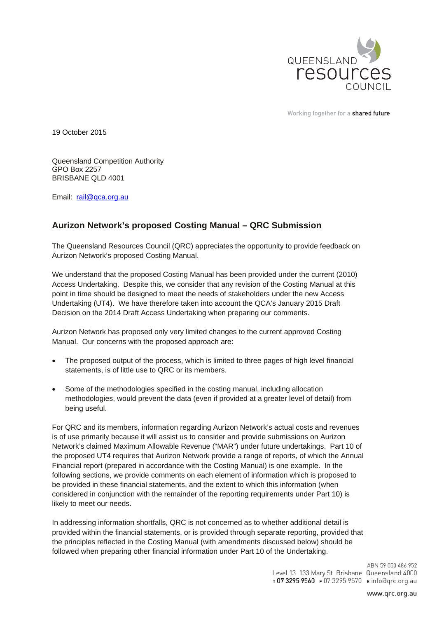

Working together for a shared future

19 October 2015

Queensland Competition Authority GPO Box 2257 BRISBANE QLD 4001

Email: rail@qca.org.au

# **Aurizon Network's proposed Costing Manual – QRC Submission**

The Queensland Resources Council (QRC) appreciates the opportunity to provide feedback on Aurizon Network's proposed Costing Manual.

We understand that the proposed Costing Manual has been provided under the current (2010) Access Undertaking. Despite this, we consider that any revision of the Costing Manual at this point in time should be designed to meet the needs of stakeholders under the new Access Undertaking (UT4). We have therefore taken into account the QCA's January 2015 Draft Decision on the 2014 Draft Access Undertaking when preparing our comments.

Aurizon Network has proposed only very limited changes to the current approved Costing Manual. Our concerns with the proposed approach are:

- The proposed output of the process, which is limited to three pages of high level financial statements, is of little use to QRC or its members.
- Some of the methodologies specified in the costing manual, including allocation methodologies, would prevent the data (even if provided at a greater level of detail) from being useful.

For QRC and its members, information regarding Aurizon Network's actual costs and revenues is of use primarily because it will assist us to consider and provide submissions on Aurizon Network's claimed Maximum Allowable Revenue ("MAR") under future undertakings. Part 10 of the proposed UT4 requires that Aurizon Network provide a range of reports, of which the Annual Financial report (prepared in accordance with the Costing Manual) is one example. In the following sections, we provide comments on each element of information which is proposed to be provided in these financial statements, and the extent to which this information (when considered in conjunction with the remainder of the reporting requirements under Part 10) is likely to meet our needs.

In addressing information shortfalls, QRC is not concerned as to whether additional detail is provided within the financial statements, or is provided through separate reporting, provided that the principles reflected in the Costing Manual (with amendments discussed below) should be followed when preparing other financial information under Part 10 of the Undertaking.

> ABN 59 050 486 952 Level 13 133 Mary St Brisbane Queensland 4000 T0732959560 F0732959570 Einfo@qrc.org.au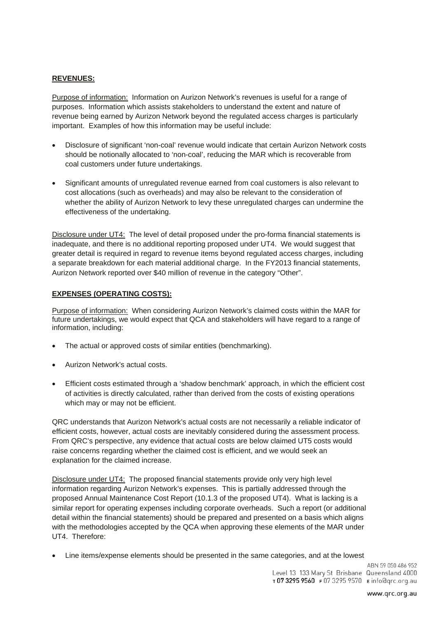#### **REVENUES:**

Purpose of information: Information on Aurizon Network's revenues is useful for a range of purposes. Information which assists stakeholders to understand the extent and nature of revenue being earned by Aurizon Network beyond the regulated access charges is particularly important. Examples of how this information may be useful include:

- Disclosure of significant 'non-coal' revenue would indicate that certain Aurizon Network costs should be notionally allocated to 'non-coal', reducing the MAR which is recoverable from coal customers under future undertakings.
- Significant amounts of unregulated revenue earned from coal customers is also relevant to cost allocations (such as overheads) and may also be relevant to the consideration of whether the ability of Aurizon Network to levy these unregulated charges can undermine the effectiveness of the undertaking.

Disclosure under UT4: The level of detail proposed under the pro-forma financial statements is inadequate, and there is no additional reporting proposed under UT4. We would suggest that greater detail is required in regard to revenue items beyond regulated access charges, including a separate breakdown for each material additional charge. In the FY2013 financial statements, Aurizon Network reported over \$40 million of revenue in the category "Other".

### **EXPENSES (OPERATING COSTS):**

Purpose of information: When considering Aurizon Network's claimed costs within the MAR for future undertakings, we would expect that QCA and stakeholders will have regard to a range of information, including:

- The actual or approved costs of similar entities (benchmarking).
- Aurizon Network's actual costs.
- Efficient costs estimated through a 'shadow benchmark' approach, in which the efficient cost of activities is directly calculated, rather than derived from the costs of existing operations which may or may not be efficient.

QRC understands that Aurizon Network's actual costs are not necessarily a reliable indicator of efficient costs, however, actual costs are inevitably considered during the assessment process. From QRC's perspective, any evidence that actual costs are below claimed UT5 costs would raise concerns regarding whether the claimed cost is efficient, and we would seek an explanation for the claimed increase.

Disclosure under UT4: The proposed financial statements provide only very high level information regarding Aurizon Network's expenses. This is partially addressed through the proposed Annual Maintenance Cost Report (10.1.3 of the proposed UT4). What is lacking is a similar report for operating expenses including corporate overheads. Such a report (or additional detail within the financial statements) should be prepared and presented on a basis which aligns with the methodologies accepted by the QCA when approving these elements of the MAR under UT4. Therefore:

Line items/expense elements should be presented in the same categories, and at the lowest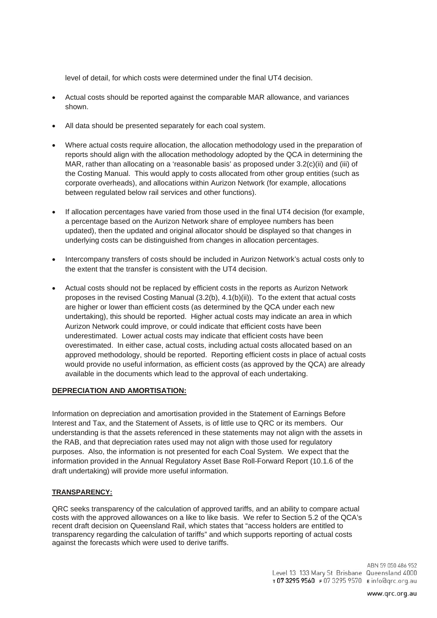level of detail, for which costs were determined under the final UT4 decision.

- Actual costs should be reported against the comparable MAR allowance, and variances shown.
- All data should be presented separately for each coal system.
- Where actual costs require allocation, the allocation methodology used in the preparation of reports should align with the allocation methodology adopted by the QCA in determining the MAR, rather than allocating on a 'reasonable basis' as proposed under 3.2(c)(ii) and (iii) of the Costing Manual. This would apply to costs allocated from other group entities (such as corporate overheads), and allocations within Aurizon Network (for example, allocations between regulated below rail services and other functions).
- If allocation percentages have varied from those used in the final UT4 decision (for example, a percentage based on the Aurizon Network share of employee numbers has been updated), then the updated and original allocator should be displayed so that changes in underlying costs can be distinguished from changes in allocation percentages.
- Intercompany transfers of costs should be included in Aurizon Network's actual costs only to the extent that the transfer is consistent with the UT4 decision.
- Actual costs should not be replaced by efficient costs in the reports as Aurizon Network proposes in the revised Costing Manual  $(3.2(b), 4.1(b)(ii))$ . To the extent that actual costs are higher or lower than efficient costs (as determined by the QCA under each new undertaking), this should be reported. Higher actual costs may indicate an area in which Aurizon Network could improve, or could indicate that efficient costs have been underestimated. Lower actual costs may indicate that efficient costs have been overestimated. In either case, actual costs, including actual costs allocated based on an approved methodology, should be reported. Reporting efficient costs in place of actual costs would provide no useful information, as efficient costs (as approved by the QCA) are already available in the documents which lead to the approval of each undertaking.

#### **DEPRECIATION AND AMORTISATION:**

Information on depreciation and amortisation provided in the Statement of Earnings Before Interest and Tax, and the Statement of Assets, is of little use to QRC or its members. Our understanding is that the assets referenced in these statements may not align with the assets in the RAB, and that depreciation rates used may not align with those used for regulatory purposes. Also, the information is not presented for each Coal System. We expect that the information provided in the Annual Regulatory Asset Base Roll-Forward Report (10.1.6 of the draft undertaking) will provide more useful information.

## **TRANSPARENCY:**

QRC seeks transparency of the calculation of approved tariffs, and an ability to compare actual costs with the approved allowances on a like to like basis. We refer to Section 5.2 of the QCA's recent draft decision on Queensland Rail, which states that "access holders are entitled to transparency regarding the calculation of tariffs" and which supports reporting of actual costs against the forecasts which were used to derive tariffs.

> ABN 59 050 486 952 Level 13 133 Mary St Brisbane Queensland 4000 T0732959560 F0732959570 Einfo@qrc.org.au